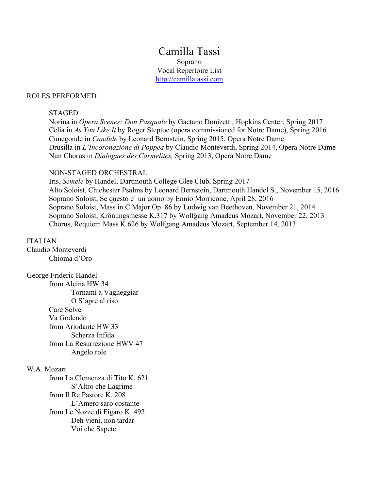Camilla Tassi Soprano Vocal Repertoire List http://camillatassi.com

#### ROLES PERFORMED

#### STAGED

Norina in *Opera Scenes: Don Pasquale* by Gaetano Donizetti, Hopkins Center, Spring 2017 Celia in *As You Like It* by Roger Steptoe (opera commissioned for Notre Dame), Spring 2016 Cunegonde in *Candide* by Leonard Bernstein, Spring 2015, Opera Notre Dame Drusilla in *L'Incoronazione di Poppea* by Claudio Monteverdi, Spring 2014, Opera Notre Dame Nun Chorus in *Dialogues des Carmelites,* Spring 2013, Opera Notre Dame

#### NON-STAGED ORCHESTRAL

Iris, *Semele* by Handel, Dartmouth College Glee Club, Spring 2017 Alto Soloist, Chichester Psalms by Leonard Bernstein, Dartmouth Handel S., November 15, 2016 Soprano Soloist, Se questo e` un uomo by Ennio Morricone, April 28, 2016 Soprano Soloist, Mass in C Major Op. 86 by Ludwig van Beethoven, November 21, 2014 Soprano Soloist, Krönungsmesse K.317 by Wolfgang Amadeus Mozart, November 22, 2013 Chorus, Requiem Mass K.626 by Wolfgang Amadeus Mozart, September 14, 2013

#### ITALIAN

Claudio Monteverdi Chioma d'Oro

George Frideric Handel from Alcina HW 34 Tornami a Vagheggiar O S'apre al riso Care Selve Va Godendo from Ariodante HW 33 Scherza Infida from La Resurrezione HWV 47 Angelo role

## W.A. Mozart

from La Clemenza di Tito K. 621 S'Altro che Lagrime from Il Re Pastore K. 208 L'Amero saro costante from Le Nozze di Figaro K. 492 Deh vieni, non tardar Voi che Sapete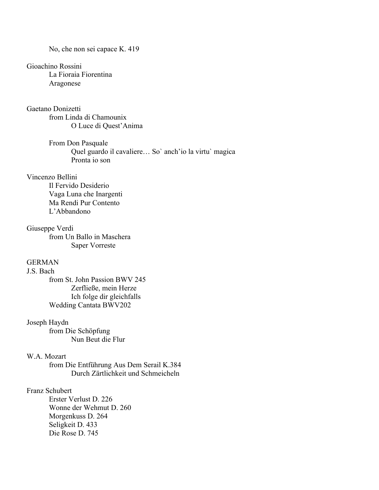No, che non sei capace K. 419

# Gioachino Rossini

La Fioraia Fiorentina Aragonese

# Gaetano Donizetti

from Linda di Chamounix O Luce di Quest'Anima

From Don Pasquale Quel guardo il cavaliere… So` anch'io la virtu` magica Pronta io son

# Vincenzo Bellini

Il Fervido Desiderio Vaga Luna che Inargenti Ma Rendi Pur Contento L'Abbandono

#### Giuseppe Verdi

from Un Ballo in Maschera Saper Vorreste

## GERMAN

## J.S. Bach

from St. John Passion BWV 245 Zerfließe, mein Herze Ich folge dir gleichfalls Wedding Cantata BWV202

#### Joseph Haydn

from Die Schöpfung Nun Beut die Flur

# W.A. Mozart

from Die Entführung Aus Dem Serail K.384 Durch Zärtlichkeit und Schmeicheln

## Franz Schubert

Erster Verlust D. 226 Wonne der Wehmut D. 260 Morgenkuss D. 264 Seligkeit D. 433 Die Rose D. 745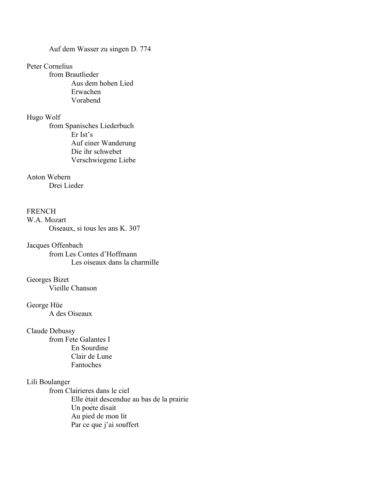Auf dem Wasser zu singen D. 774

#### Peter Cornelius

from Brautlieder Aus dem hohen Lied Erwachen Vorabend

#### Hugo Wolf

from Spanisches Liederbuch Er Ist's Auf einer Wanderung Die ihr schwebet Verschwiegene Liebe

# Anton Webern

Drei Lieder

## **FRENCH**

W.A. Mozart Oiseaux, si tous les ans K. 307

Jacques Offenbach from Les Contes d'Hoffmann Les oiseaux dans la charmille

# Georges Bizet Vieille Chanson

## George Hüe A des Oiseaux

## Claude Debussy

from Fete Galantes I En Sourdine Clair de Lune Fantoches

# Lili Boulanger

from Clairieres dans le ciel Elle était descendue au bas de la prairie Un poète disait Au pied de mon lit Par ce que j'ai souffert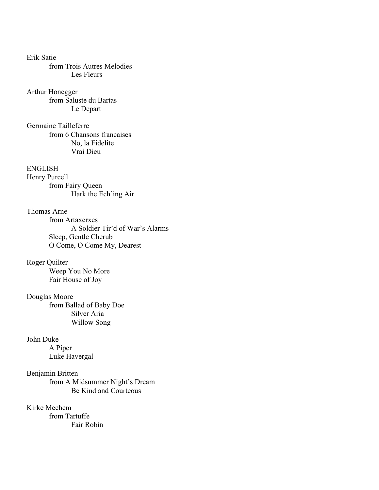Erik Satie from Trois Autres Melodies Les Fleurs

Arthur Honegger from Saluste du Bartas Le Depart

Germaine Tailleferre from 6 Chansons francaises No, la Fidelite Vrai Dieu

ENGLISH Henry Purcell from Fairy Queen Hark the Ech'ing Air

Thomas Arne from Artaxerxes A Soldier Tir'd of War's Alarms Sleep, Gentle Cherub O Come, O Come My, Dearest

Roger Quilter Weep You No More Fair House of Joy

Douglas Moore from Ballad of Baby Doe Silver Aria Willow Song

John Duke A Piper Luke Havergal

Benjamin Britten from A Midsummer Night's Dream Be Kind and Courteous

Kirke Mechem from Tartuffe Fair Robin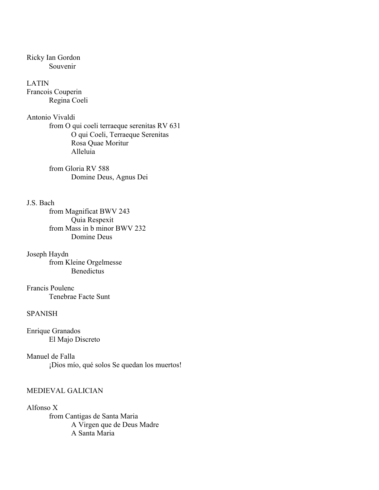Ricky Ian Gordon Souvenir

LATIN Francois Couperin Regina Coeli

Antonio Vivaldi from O qui coeli terraeque serenitas RV 631 O qui Coeli, Terraeque Serenitas Rosa Quae Moritur Alleluia

> from Gloria RV 588 Domine Deus, Agnus Dei

#### J.S. Bach

from Magnificat BWV 243 Quia Respexit from Mass in b minor BWV 232 Domine Deus

Joseph Haydn from Kleine Orgelmesse **Benedictus** 

Francis Poulenc Tenebrae Facte Sunt

# **SPANISH**

Enrique Granados El Majo Discreto

Manuel de Falla ¡Dios mío, qué solos Se quedan los muertos!

# MEDIEVAL GALICIAN

Alfonso X from Cantigas de Santa Maria A Virgen que de Deus Madre A Santa Maria